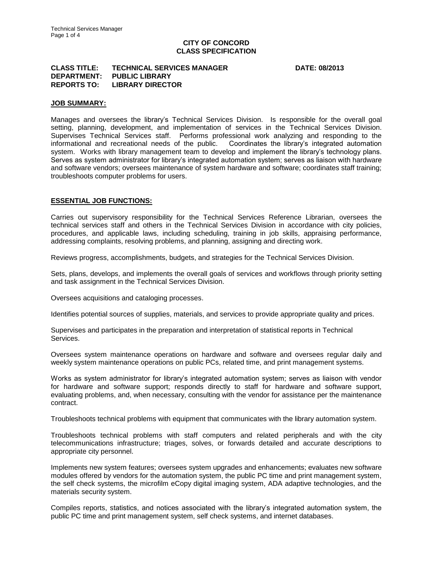# **CITY OF CONCORD CLASS SPECIFICATION**

### **CLASS TITLE: TECHNICAL SERVICES MANAGER DATE: 08/2013 DEPARTMENT: PUBLIC LIBRARY REPORTS TO: LIBRARY DIRECTOR**

## **JOB SUMMARY:**

Manages and oversees the library's Technical Services Division. Is responsible for the overall goal setting, planning, development, and implementation of services in the Technical Services Division. Supervises Technical Services staff. Performs professional work analyzing and responding to the informational and recreational needs of the public. Coordinates the library's integrated automation system. Works with library management team to develop and implement the library's technology plans. Serves as system administrator for library's integrated automation system; serves as liaison with hardware and software vendors; oversees maintenance of system hardware and software; coordinates staff training; troubleshoots computer problems for users.

## **ESSENTIAL JOB FUNCTIONS:**

Carries out supervisory responsibility for the Technical Services Reference Librarian, oversees the technical services staff and others in the Technical Services Division in accordance with city policies, procedures, and applicable laws, including scheduling, training in job skills, appraising performance, addressing complaints, resolving problems, and planning, assigning and directing work.

Reviews progress, accomplishments, budgets, and strategies for the Technical Services Division.

Sets, plans, develops, and implements the overall goals of services and workflows through priority setting and task assignment in the Technical Services Division.

Oversees acquisitions and cataloging processes.

Identifies potential sources of supplies, materials, and services to provide appropriate quality and prices.

Supervises and participates in the preparation and interpretation of statistical reports in Technical Services.

Oversees system maintenance operations on hardware and software and oversees regular daily and weekly system maintenance operations on public PCs, related time, and print management systems.

Works as system administrator for library's integrated automation system; serves as liaison with vendor for hardware and software support; responds directly to staff for hardware and software support, evaluating problems, and, when necessary, consulting with the vendor for assistance per the maintenance contract.

Troubleshoots technical problems with equipment that communicates with the library automation system.

Troubleshoots technical problems with staff computers and related peripherals and with the city telecommunications infrastructure; triages, solves, or forwards detailed and accurate descriptions to appropriate city personnel.

Implements new system features; oversees system upgrades and enhancements; evaluates new software modules offered by vendors for the automation system, the public PC time and print management system, the self check systems, the microfilm eCopy digital imaging system, ADA adaptive technologies, and the materials security system.

Compiles reports, statistics, and notices associated with the library's integrated automation system, the public PC time and print management system, self check systems, and internet databases.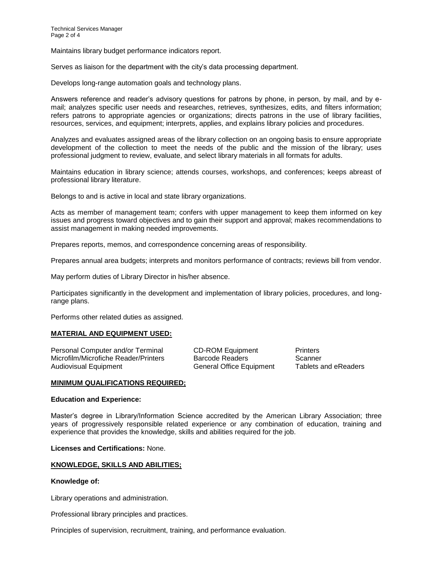Maintains library budget performance indicators report.

Serves as liaison for the department with the city's data processing department.

Develops long-range automation goals and technology plans.

Answers reference and reader's advisory questions for patrons by phone, in person, by mail, and by email; analyzes specific user needs and researches, retrieves, synthesizes, edits, and filters information; refers patrons to appropriate agencies or organizations; directs patrons in the use of library facilities, resources, services, and equipment; interprets, applies, and explains library policies and procedures.

Analyzes and evaluates assigned areas of the library collection on an ongoing basis to ensure appropriate development of the collection to meet the needs of the public and the mission of the library; uses professional judgment to review, evaluate, and select library materials in all formats for adults.

Maintains education in library science; attends courses, workshops, and conferences; keeps abreast of professional library literature.

Belongs to and is active in local and state library organizations.

Acts as member of management team; confers with upper management to keep them informed on key issues and progress toward objectives and to gain their support and approval; makes recommendations to assist management in making needed improvements.

Prepares reports, memos, and correspondence concerning areas of responsibility.

Prepares annual area budgets; interprets and monitors performance of contracts; reviews bill from vendor.

May perform duties of Library Director in his/her absence.

Participates significantly in the development and implementation of library policies, procedures, and longrange plans.

Performs other related duties as assigned.

#### **MATERIAL AND EQUIPMENT USED:**

Personal Computer and/or Terminal CD-ROM Equipment Printers Microfilm/Microfiche Reader/Printers Barcode Readers Scanner Audiovisual Equipment **General Office Equipment** Tablets and eReaders

#### **MINIMUM QUALIFICATIONS REQUIRED;**

#### **Education and Experience:**

Master's degree in Library/Information Science accredited by the American Library Association; three years of progressively responsible related experience or any combination of education, training and experience that provides the knowledge, skills and abilities required for the job.

**Licenses and Certifications:** None.

#### **KNOWLEDGE, SKILLS AND ABILITIES;**

## **Knowledge of:**

Library operations and administration.

Professional library principles and practices.

Principles of supervision, recruitment, training, and performance evaluation.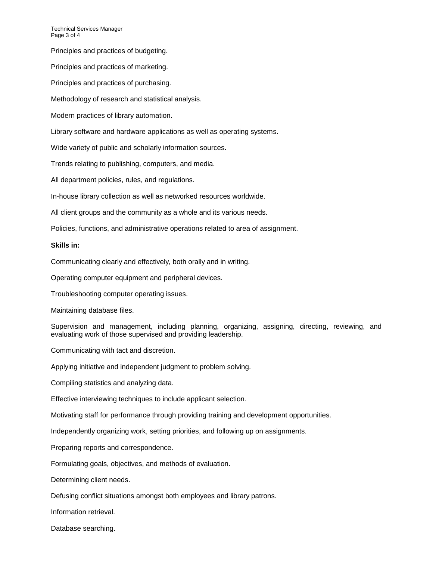Technical Services Manager Page 3 of 4

Principles and practices of budgeting.

Principles and practices of marketing.

Principles and practices of purchasing.

Methodology of research and statistical analysis.

Modern practices of library automation.

Library software and hardware applications as well as operating systems.

Wide variety of public and scholarly information sources.

Trends relating to publishing, computers, and media.

All department policies, rules, and regulations.

In-house library collection as well as networked resources worldwide.

All client groups and the community as a whole and its various needs.

Policies, functions, and administrative operations related to area of assignment.

## **Skills in:**

Communicating clearly and effectively, both orally and in writing.

Operating computer equipment and peripheral devices.

Troubleshooting computer operating issues.

Maintaining database files.

Supervision and management, including planning, organizing, assigning, directing, reviewing, and evaluating work of those supervised and providing leadership.

Communicating with tact and discretion.

Applying initiative and independent judgment to problem solving.

Compiling statistics and analyzing data.

Effective interviewing techniques to include applicant selection.

Motivating staff for performance through providing training and development opportunities.

Independently organizing work, setting priorities, and following up on assignments.

Preparing reports and correspondence.

Formulating goals, objectives, and methods of evaluation.

Determining client needs.

Defusing conflict situations amongst both employees and library patrons.

Information retrieval.

Database searching.